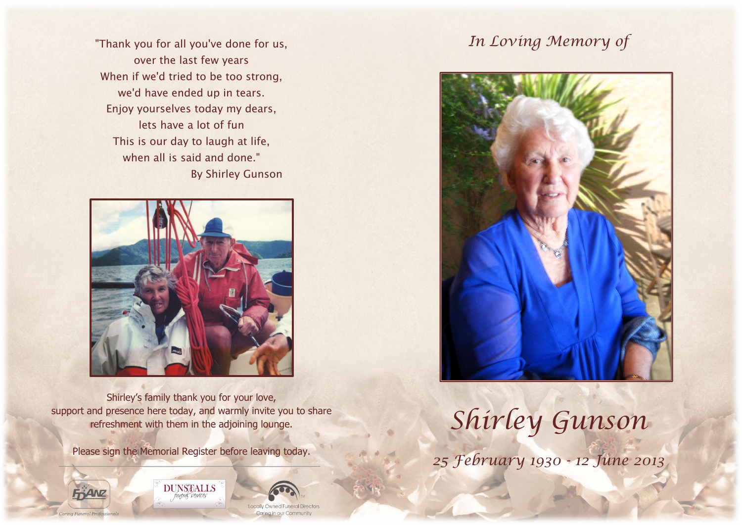"Thank you for all you've done for us, over the last few years When if we'd tried to be too strong, we'd have ended up in tears. Enjoy yourselves today my dears, lets have a lot of fun This is our day to laugh at life, when all is said and done." By Shirley Gunson



Shirley's family thank you for your love, support and presence here today, and warmly invite you to share refreshment with them in the adjoining lounge.

Please sign the Memorial Register before leaving today.







# *In Loving Memory of*



*Shirley Gunson*

*25 February 1930 - 12 June 2013*